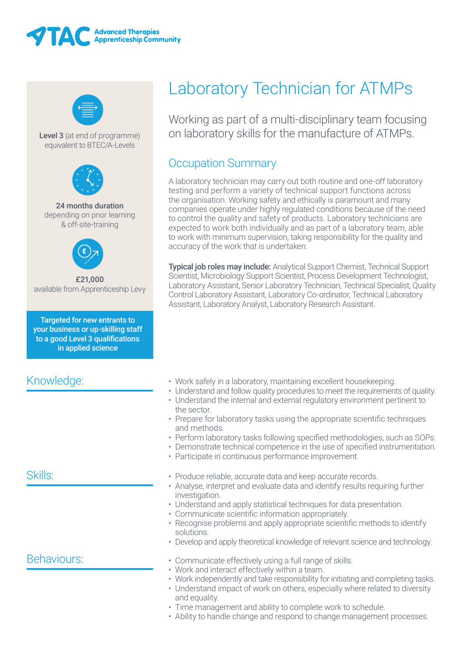



Level 3 (at end of programme) equivalent to BTEC/A-Levels



#### 24 months duration depending on prior learning & off-site-training



£21,000 available from Apprenticeship Levy

Targeted for new entrants to your business or up-skilling staff to a good Level 3 qualifications in applied science

# Knowledge:

# Skills:

### Behaviours:

# Laboratory Technician for ATMPs

Working as part of a multi-disciplinary team focusing on laboratory skills for the manufacture of ATMPs.

# Occupation Summary

A laboratory technician may carry out both routine and one-off laboratory testing and perform a variety of technical support functions across the organisation. Working safety and ethically is paramount and many companies operate under highly regulated conditions because of the need to control the quality and safety of products. Laboratory technicians are expected to work both individually and as part of a laboratory team, able to work with minimum supervision, taking responsibility for the quality and accuracy of the work that is undertaken.

Typical job roles may include: Analytical Support Chemist, Technical Support Scientist, Microbiology Support Scientist, Process Development Technologist, Laboratory Assistant, Senior Laboratory Technician, Technical Specialist, Quality Control Laboratory Assistant, Laboratory Co-ordinator, Technical Laboratory Assistant, Laboratory Analyst, Laboratory Research Assistant.

- Work safely in a laboratory, maintaining excellent housekeeping.
- Understand and follow quality procedures to meet the requirements of quality.
- Understand the internal and external regulatory environment pertinent to the sector.
- Prepare for laboratory tasks using the appropriate scientific techniques and methods.
- Perform laboratory tasks following specified methodologies, such as SOPs.
- • Demonstrate technical competence in the use of specified instrumentation.
- Participate in continuous performance improvement.
- Produce reliable, accurate data and keep accurate records.
- Analyse, interpret and evaluate data and identify results requiring further investigation.
- Understand and apply statistical techniques for data presentation.
- Communicate scientific information appropriately.
- Recognise problems and apply appropriate scientific methods to identify solutions.
- Develop and apply theoretical knowledge of relevant science and technology.
- Communicate effectively using a full range of skills.
- Work and interact effectively within a team.
- Work independently and take responsibility for initiating and completing tasks.
- Understand impact of work on others, especially where related to diversity and equality.
- Time management and ability to complete work to schedule.
- Ability to handle change and respond to change management processes.